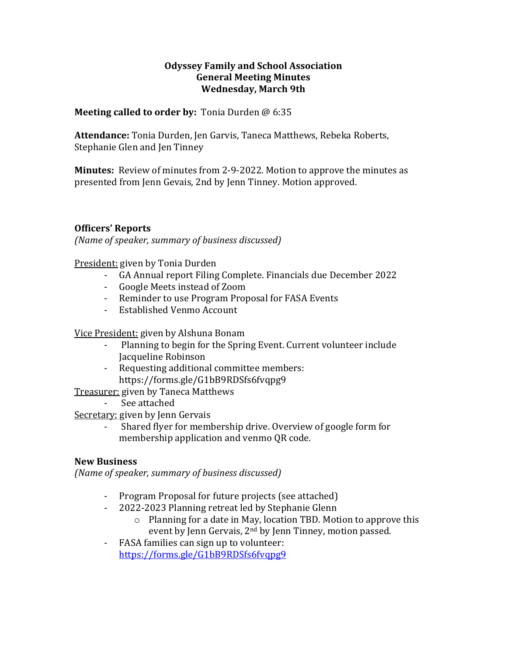### **Odyssey Family and School Association General Meeting Minutes Wednesday, March 9th**

### **Meeting called to order by:** Tonia Durden @ 6:35

Attendance: Tonia Durden, Jen Garvis, Taneca Matthews, Rebeka Roberts, Stephanie Glen and Jen Tinney

**Minutes:** Review of minutes from 2-9-2022. Motion to approve the minutes as presented from Jenn Gevais, 2nd by Jenn Tinney. Motion approved.

# **Officers' Reports**

*(Name of speaker, summary of business discussed)* 

President: given by Tonia Durden

- GA Annual report Filing Complete. Financials due December 2022
- Google Meets instead of Zoom
- Reminder to use Program Proposal for FASA Events
- Established Venmo Account

Vice President: given by Alshuna Bonam

- Planning to begin for the Spring Event. Current volunteer include Jacqueline Robinson
- Requesting additional committee members: https://forms.gle/G1bB9RDSfs6fvqpg9

Treasurer: given by Taneca Matthews

See attached

Secretary: given by Jenn Gervais

Shared flyer for membership drive. Overview of google form for membership application and venmo OR code.

# **New Business**

*(Name of speaker, summary of business discussed)* 

- Program Proposal for future projects (see attached)
- 2022-2023 Planning retreat led by Stephanie Glenn
	- $\circ$  Planning for a date in May, location TBD. Motion to approve this event by Jenn Gervais,  $2<sup>nd</sup>$  by Jenn Tinney, motion passed.
- FASA families can sign up to volunteer: https://forms.gle/G1bB9RDSfs6fvqpg9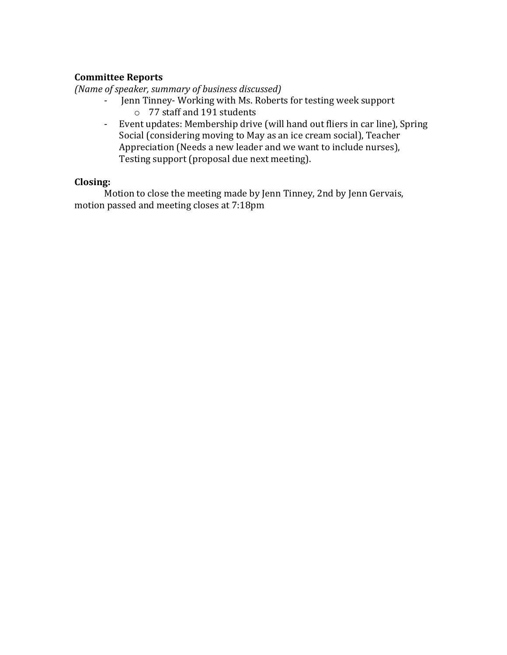# **Committee Reports**

*(Name of speaker, summary of business discussed)* 

- Jenn Tinney-Working with Ms. Roberts for testing week support o 77 staff and 191 students
- Event updates: Membership drive (will hand out fliers in car line), Spring Social (considering moving to May as an ice cream social), Teacher Appreciation (Needs a new leader and we want to include nurses), Testing support (proposal due next meeting).

#### **Closing:**

Motion to close the meeting made by Jenn Tinney, 2nd by Jenn Gervais, motion passed and meeting closes at 7:18pm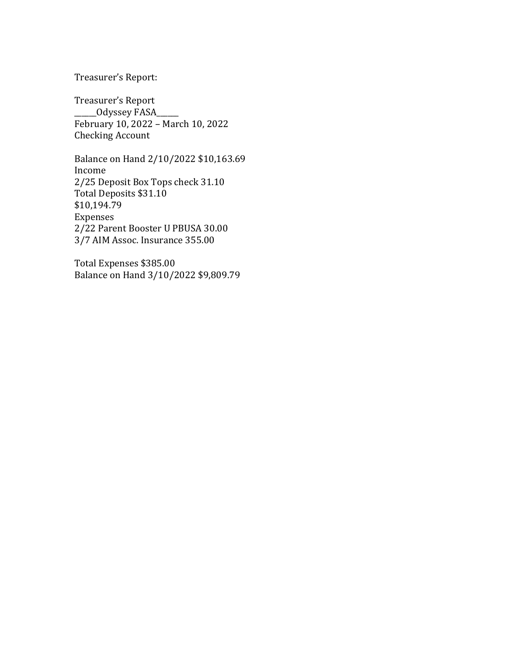#### Treasurer's Report:

Treasurer's Report \_\_\_\_\_\_Odyssey FASA\_\_\_\_\_\_ February 10, 2022 - March 10, 2022 Checking Account

Balance on Hand 2/10/2022 \$10,163.69 Income 2/25 Deposit Box Tops check 31.10 Total Deposits \$31.10 \$10,194.79 Expenses 2/22 Parent Booster U PBUSA 30.00 3/7 AIM Assoc. Insurance 355.00

Total Expenses \$385.00 Balance on Hand 3/10/2022 \$9,809.79